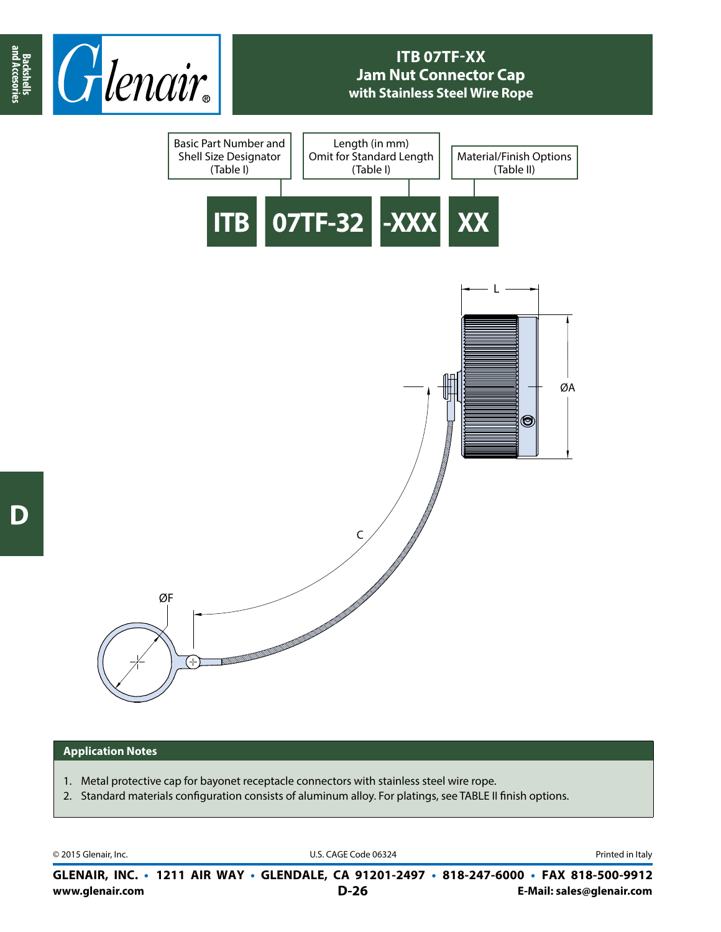

## **ITB 07TF-XX Jam Nut Connector Cap with Stainless Steel Wire Rope**



## **Application Notes**

- 1. Metal protective cap for bayonet receptacle connectors with stainless steel wire rope.
- 2. Standard materials configuration consists of aluminum alloy. For platings, see TABLE II finish options.

© 2015 Glenair, Inc. U.S. CAGE Code 06324 Printed in Italy

**www.glenair.com E-Mail: sales@glenair.com GLENAIR, INC. • 1211 AIR WAY • GLENDALE, CA 91201-2497 • 818-247-6000 • FAX 818-500-9912 D-26**

**and Accesories**